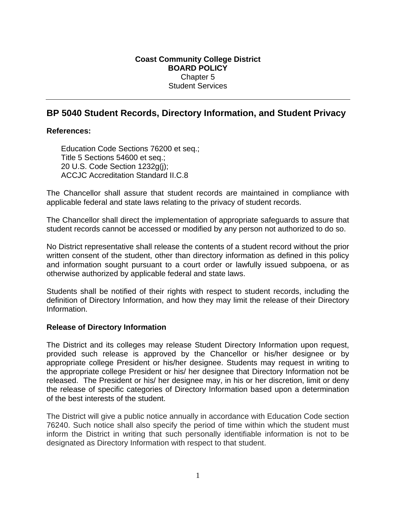# **Coast Community College District BOARD POLICY**  Chapter 5 Student Services

# **BP 5040 Student Records, Directory Information, and Student Privacy**

### **References:**

Education Code Sections 76200 et seq.; Title 5 Sections 54600 et seq.; 20 U.S. Code Section 1232g(j); ACCJC Accreditation Standard II.C.8

The Chancellor shall assure that student records are maintained in compliance with applicable federal and state laws relating to the privacy of student records.

The Chancellor shall direct the implementation of appropriate safeguards to assure that student records cannot be accessed or modified by any person not authorized to do so.

No District representative shall release the contents of a student record without the prior written consent of the student, other than directory information as defined in this policy and information sought pursuant to a court order or lawfully issued subpoena, or as otherwise authorized by applicable federal and state laws.

Students shall be notified of their rights with respect to student records, including the definition of Directory Information, and how they may limit the release of their Directory Information.

#### **Release of Directory Information**

The District and its colleges may release Student Directory Information upon request, provided such release is approved by the Chancellor or his/her designee or by appropriate college President or his/her designee. Students may request in writing to the appropriate college President or his/ her designee that Directory Information not be released. The President or his/ her designee may, in his or her discretion, limit or deny the release of specific categories of Directory Information based upon a determination of the best interests of the student.

The District will give a public notice annually in accordance with Education Code section 76240. Such notice shall also specify the period of time within which the student must inform the District in writing that such personally identifiable information is not to be designated as Directory Information with respect to that student.